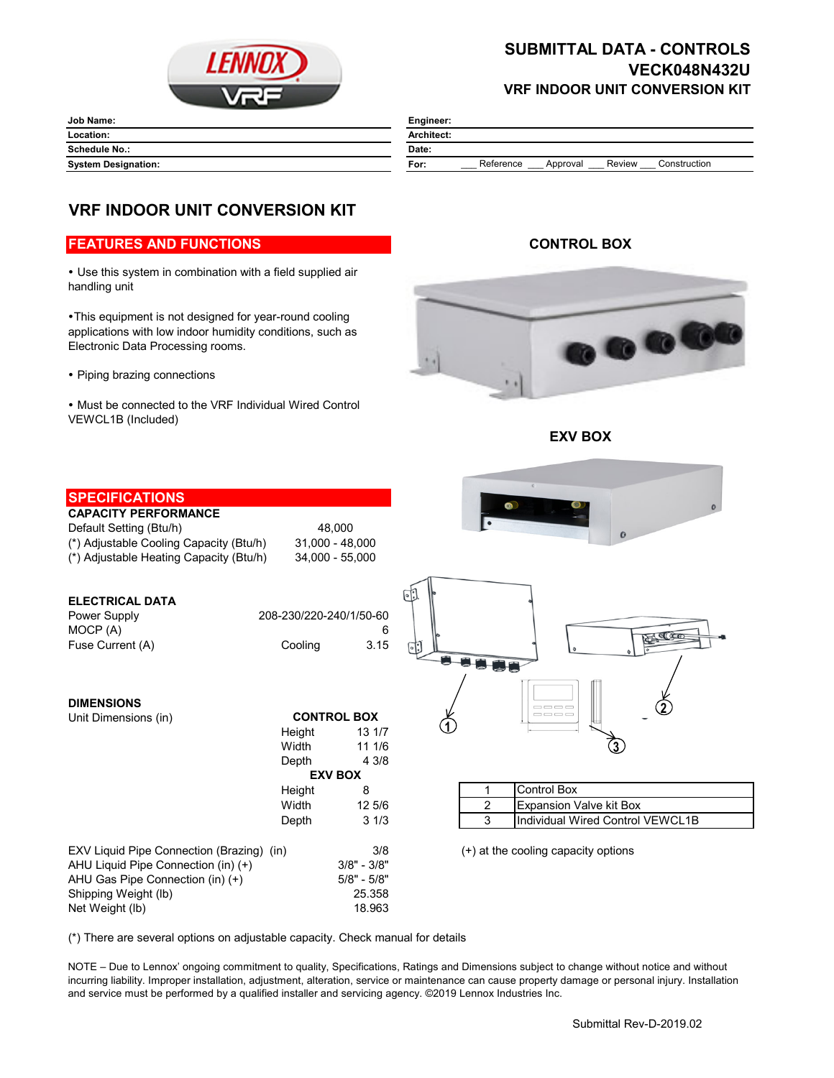

## **SUBMITTAL DATA - CONTROLS VECK048N432U VRF INDOOR UNIT CONVERSION KIT**

| <b>Job Name:</b>           | Engineer:                                               |
|----------------------------|---------------------------------------------------------|
| Location:                  | <b>Architect:</b>                                       |
| <b>Schedule No.:</b>       | Date:                                                   |
| <b>System Designation:</b> | Reference<br>Construction<br>Review<br>For:<br>Approval |

# **VRF INDOOR UNIT CONVERSION KIT**

### **FEATURES AND FUNCTIONS**

 Use this system in combination with a field supplied air handling unit

This equipment is not designed for year-round cooling applications with low indoor humidity conditions, such as Electronic Data Processing rooms.

• Piping brazing connections

 Must be connected to the VRF Individual Wired Control VEWCL1B (Included)

### **CONTROL BOX**



**EXV BOX**

| <b>SPECIFICATIONS</b>                                      |                         |               |                                                  |
|------------------------------------------------------------|-------------------------|---------------|--------------------------------------------------|
| <b>CAPACITY PERFORMANCE</b>                                |                         |               | $\Omega$                                         |
| Default Setting (Btu/h)                                    | 48.000                  |               |                                                  |
| (*) Adjustable Cooling Capacity (Btu/h)                    | 31,000 - 48,000         |               |                                                  |
| 34,000 - 55,000<br>(*) Adjustable Heating Capacity (Btu/h) |                         |               |                                                  |
|                                                            |                         |               |                                                  |
|                                                            |                         |               |                                                  |
| <b>ELECTRICAL DATA</b>                                     |                         |               |                                                  |
| Power Supply                                               | 208-230/220-240/1/50-60 |               |                                                  |
| MOCP (A)                                                   |                         | 6             | Q(0)                                             |
| Fuse Current (A)                                           | Cooling                 | 3.15          | $\lceil \cdot \rceil$                            |
|                                                            |                         |               | ÷                                                |
|                                                            |                         |               |                                                  |
| <b>DIMENSIONS</b>                                          |                         |               |                                                  |
| Unit Dimensions (in)                                       | <b>CONTROL BOX</b>      |               | ----<br>$\qquad \qquad \qquad \Box \qquad \Box$  |
|                                                            | Height                  | 13 1/7        |                                                  |
|                                                            | Width                   | 11 1/6        | $\mathbf{3}$                                     |
|                                                            | Depth                   | 4 3/8         |                                                  |
|                                                            | <b>EXV BOX</b>          |               |                                                  |
|                                                            | Height                  | 8             | <b>Control Box</b><br>1                          |
|                                                            | Width                   | 12 5/6        | $\overline{c}$<br><b>Expansion Valve kit Box</b> |
|                                                            | Depth                   | 31/3          | 3<br>Individual Wired Control VEWCL1B            |
|                                                            |                         |               |                                                  |
| EXV Liquid Pipe Connection (Brazing) (in)                  |                         | 3/8           | (+) at the cooling capacity options              |
| AHU Liquid Pipe Connection (in) (+)                        |                         | $3/8" - 3/8"$ |                                                  |
| AHU Gas Pipe Connection (in) (+)                           |                         | $5/8" - 5/8"$ |                                                  |
| Shipping Weight (lb)                                       |                         | 25.358        |                                                  |
| Net Weight (lb)                                            |                         | 18.963        |                                                  |

(\*) There are several options on adjustable capacity. Check manual for details

NOTE – Due to Lennox' ongoing commitment to quality, Specifications, Ratings and Dimensions subject to change without notice and without incurring liability. Improper installation, adjustment, alteration, service or maintenance can cause property damage or personal injury. Installation and service must be performed by a qualified installer and servicing agency. ©2019 Lennox Industries Inc.